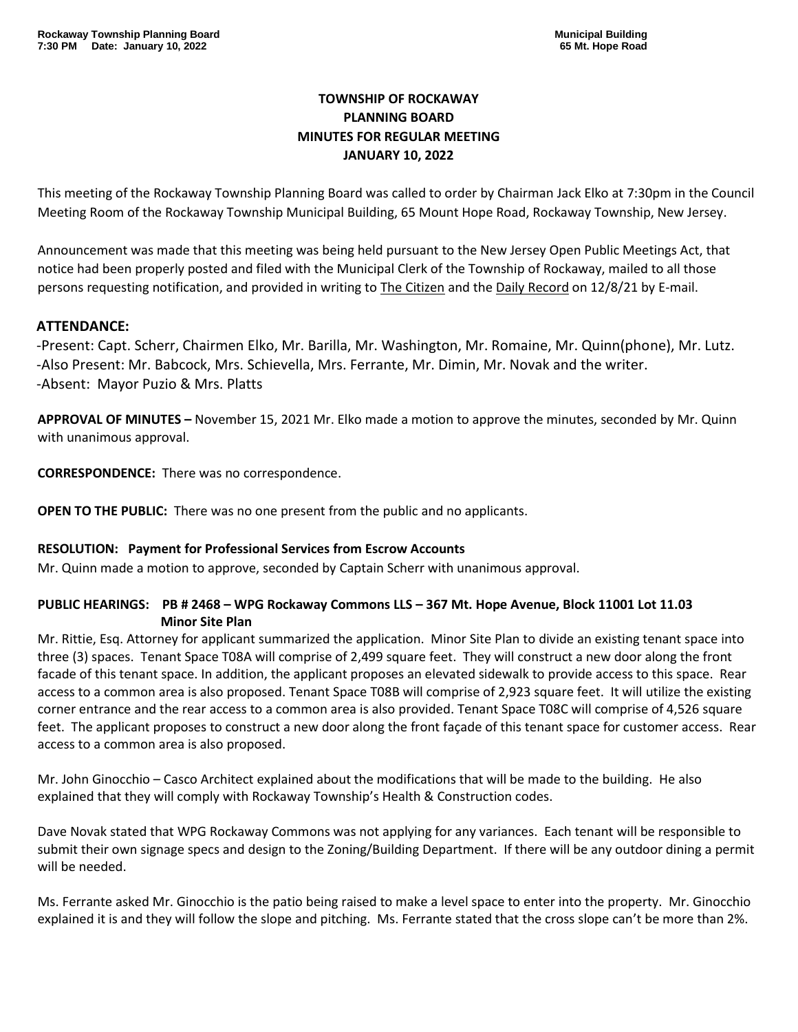# **TOWNSHIP OF ROCKAWAY PLANNING BOARD MINUTES FOR REGULAR MEETING JANUARY 10, 2022**

This meeting of the Rockaway Township Planning Board was called to order by Chairman Jack Elko at 7:30pm in the Council Meeting Room of the Rockaway Township Municipal Building, 65 Mount Hope Road, Rockaway Township, New Jersey.

Announcement was made that this meeting was being held pursuant to the New Jersey Open Public Meetings Act, that notice had been properly posted and filed with the Municipal Clerk of the Township of Rockaway, mailed to all those persons requesting notification, and provided in writing to The Citizen and the Daily Record on 12/8/21 by E-mail.

## **ATTENDANCE:**

-Present: Capt. Scherr, Chairmen Elko, Mr. Barilla, Mr. Washington, Mr. Romaine, Mr. Quinn(phone), Mr. Lutz. -Also Present: Mr. Babcock, Mrs. Schievella, Mrs. Ferrante, Mr. Dimin, Mr. Novak and the writer. -Absent: Mayor Puzio & Mrs. Platts

**APPROVAL OF MINUTES –** November 15, 2021 Mr. Elko made a motion to approve the minutes, seconded by Mr. Quinn with unanimous approval.

**CORRESPONDENCE:** There was no correspondence.

**OPEN TO THE PUBLIC:** There was no one present from the public and no applicants.

#### **RESOLUTION: Payment for Professional Services from Escrow Accounts**

Mr. Quinn made a motion to approve, seconded by Captain Scherr with unanimous approval.

## **PUBLIC HEARINGS: PB # 2468 – WPG Rockaway Commons LLS – 367 Mt. Hope Avenue, Block 11001 Lot 11.03 Minor Site Plan**

Mr. Rittie, Esq. Attorney for applicant summarized the application. Minor Site Plan to divide an existing tenant space into three (3) spaces. Tenant Space T08A will comprise of 2,499 square feet. They will construct a new door along the front facade of this tenant space. In addition, the applicant proposes an elevated sidewalk to provide access to this space. Rear access to a common area is also proposed. Tenant Space T08B will comprise of 2,923 square feet. It will utilize the existing corner entrance and the rear access to a common area is also provided. Tenant Space T08C will comprise of 4,526 square feet. The applicant proposes to construct a new door along the front façade of this tenant space for customer access. Rear access to a common area is also proposed.

Mr. John Ginocchio – Casco Architect explained about the modifications that will be made to the building. He also explained that they will comply with Rockaway Township's Health & Construction codes.

Dave Novak stated that WPG Rockaway Commons was not applying for any variances. Each tenant will be responsible to submit their own signage specs and design to the Zoning/Building Department. If there will be any outdoor dining a permit will be needed.

Ms. Ferrante asked Mr. Ginocchio is the patio being raised to make a level space to enter into the property. Mr. Ginocchio explained it is and they will follow the slope and pitching. Ms. Ferrante stated that the cross slope can't be more than 2%.